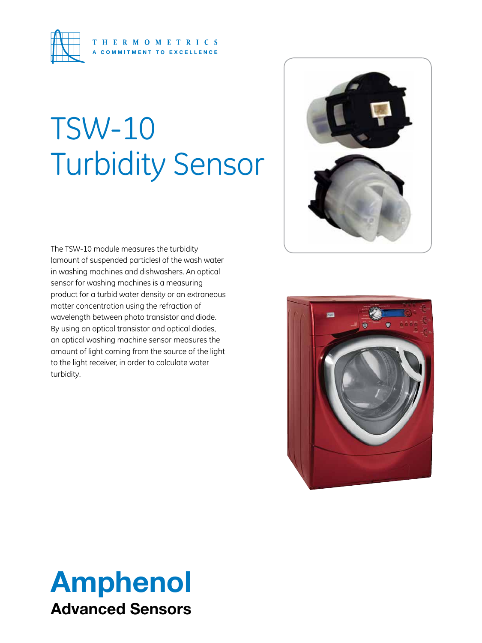

# TSW-10 Turbidity Sensor

The TSW-10 module measures the turbidity (amount of suspended particles) of the wash water in washing machines and dishwashers. An optical sensor for washing machines is a measuring product for a turbid water density or an extraneous matter concentration using the refraction of wavelength between photo transistor and diode. By using an optical transistor and optical diodes, an optical washing machine sensor measures the amount of light coming from the source of the light to the light receiver, in order to calculate water turbidity.





## Amphenol Advanced Sensors